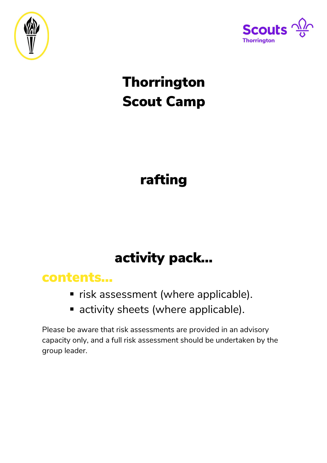



# **Thorrington** Scout Camp

# rafting

# activity pack…

### contents…

- **F** risk assessment (where applicable).
- **E** activity sheets (where applicable).

Please be aware that risk assessments are provided in an advisory capacity only, and a full risk assessment should be undertaken by the group leader.